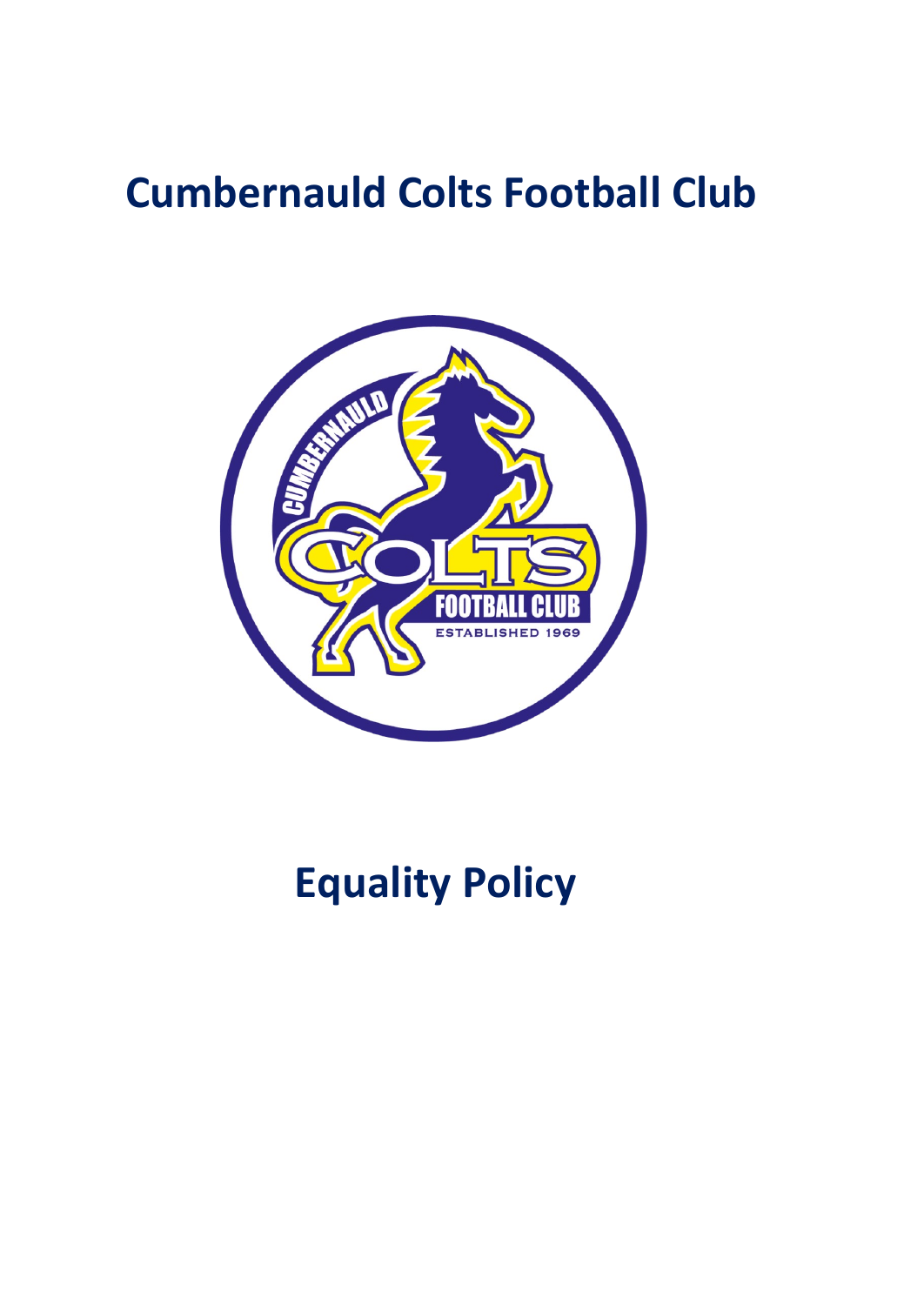# **Cumbernauld Colts Football Club**



# **Equality Policy**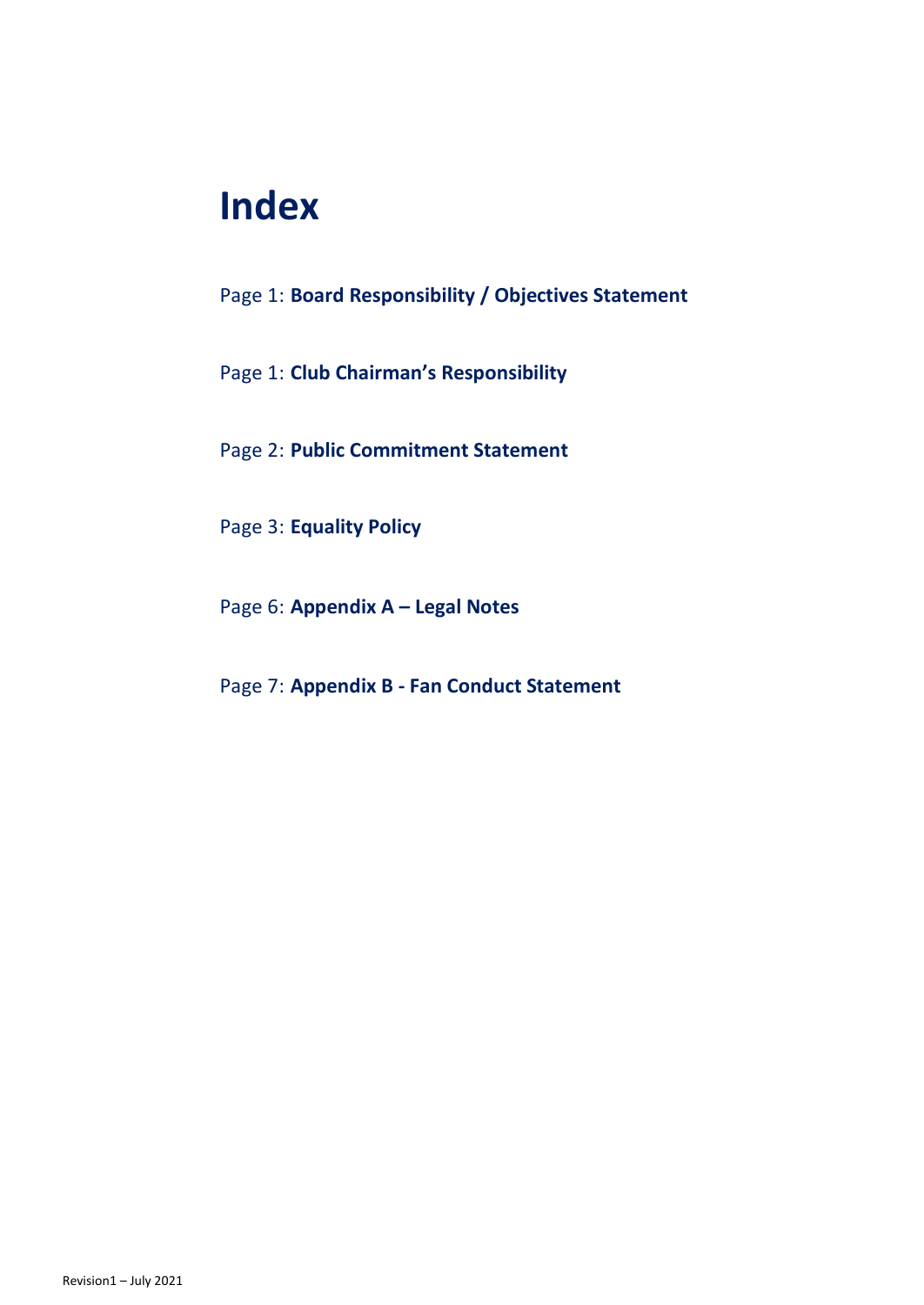## **Index**

- Page 1: **Board Responsibility / Objectives Statement**
- Page 1: **Club Chairman's Responsibility**
- Page 2: **Public Commitment Statement**
- Page 3: **Equality Policy**
- Page 6: **Appendix A – Legal Notes**
- Page 7: **Appendix B - Fan Conduct Statement**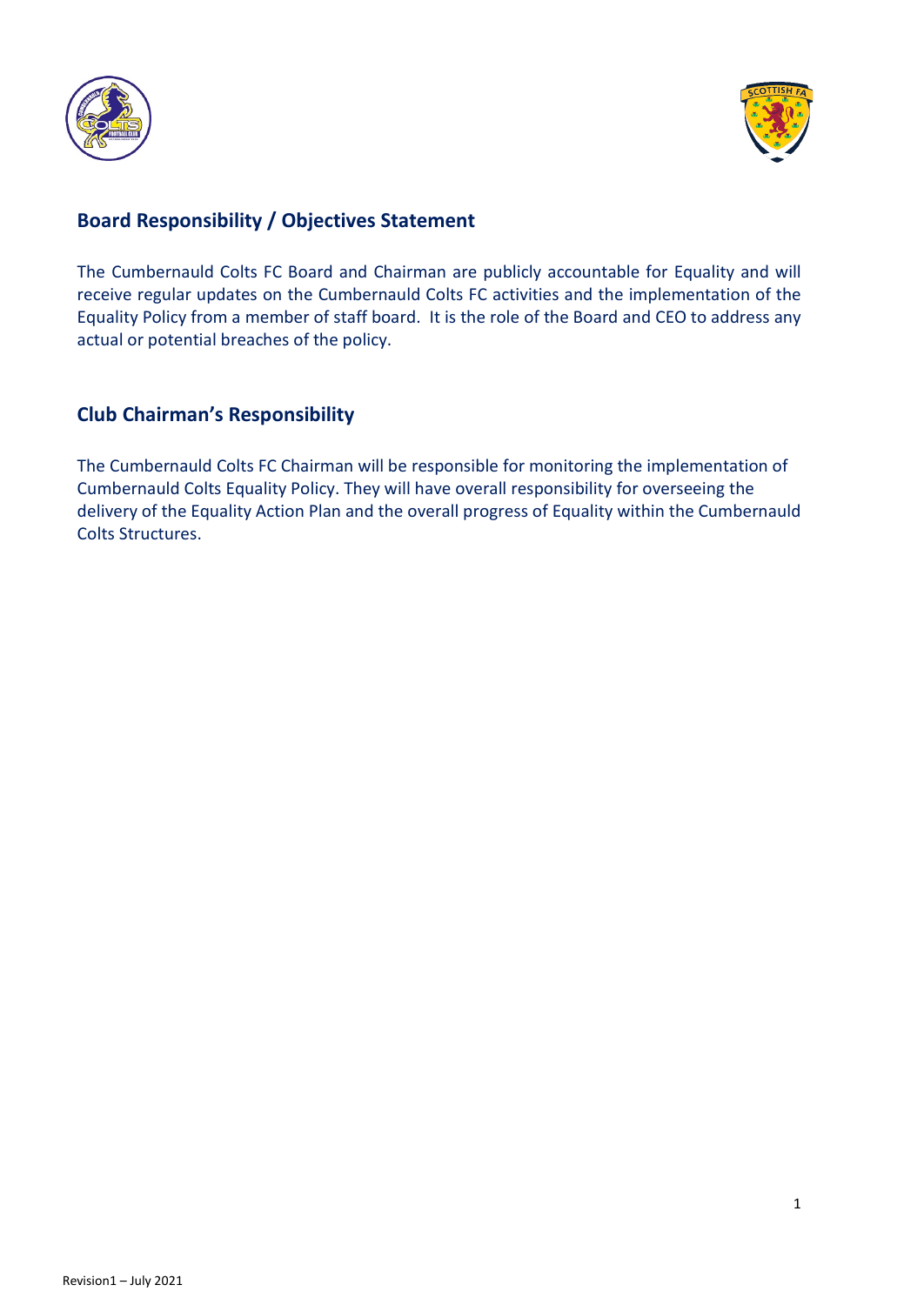



## **Board Responsibility / Objectives Statement**

The Cumbernauld Colts FC Board and Chairman are publicly accountable for Equality and will receive regular updates on the Cumbernauld Colts FC activities and the implementation of the Equality Policy from a member of staff board. It is the role of the Board and CEO to address any actual or potential breaches of the policy.

#### **Club Chairman's Responsibility**

The Cumbernauld Colts FC Chairman will be responsible for monitoring the implementation of Cumbernauld Colts Equality Policy. They will have overall responsibility for overseeing the delivery of the Equality Action Plan and the overall progress of Equality within the Cumbernauld Colts Structures.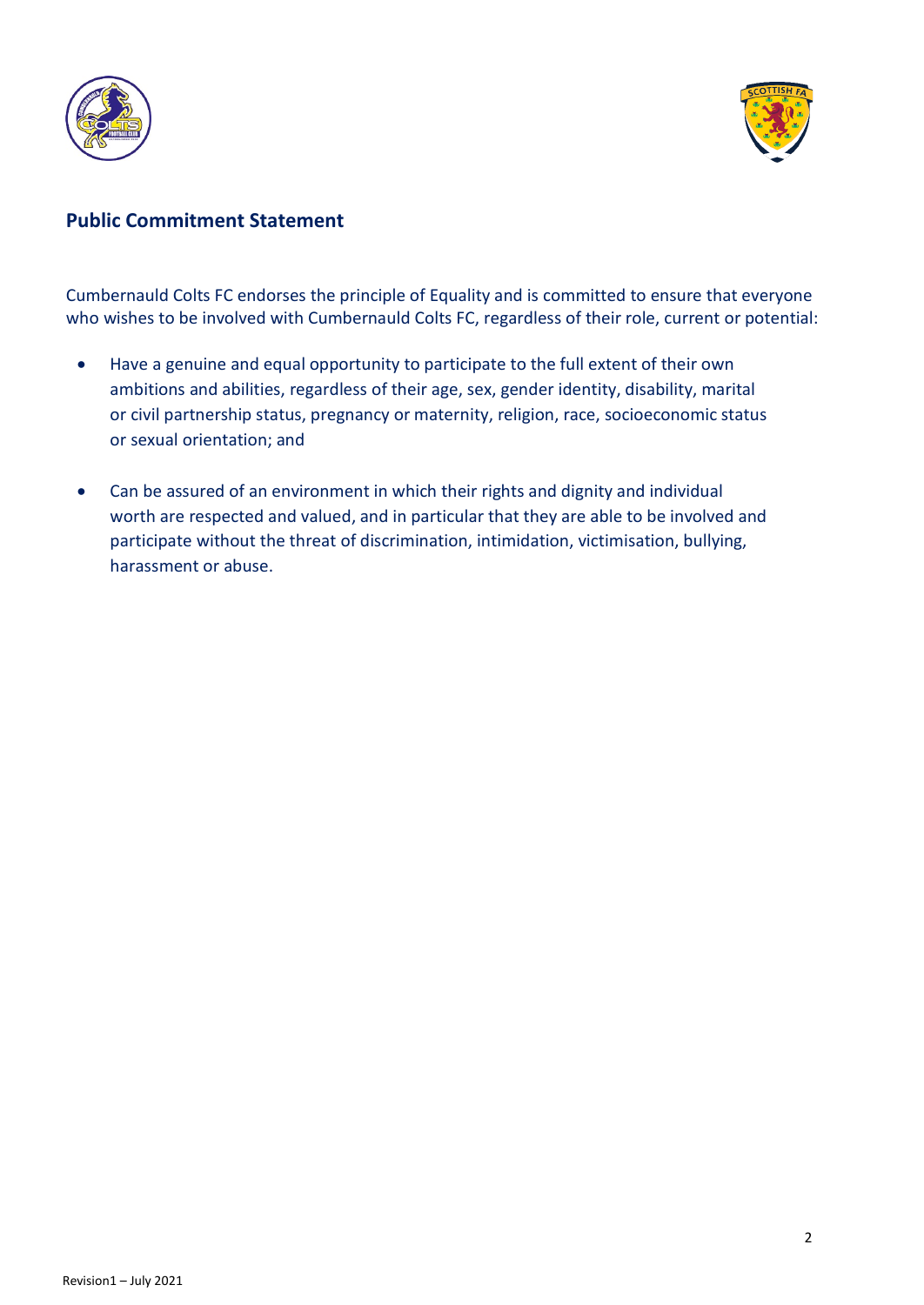



## **Public Commitment Statement**

Cumbernauld Colts FC endorses the principle of Equality and is committed to ensure that everyone who wishes to be involved with Cumbernauld Colts FC, regardless of their role, current or potential:

- Have a genuine and equal opportunity to participate to the full extent of their own ambitions and abilities, regardless of their age, sex, gender identity, disability, marital or civil partnership status, pregnancy or maternity, religion, race, socioeconomic status or sexual orientation; and
- Can be assured of an environment in which their rights and dignity and individual worth are respected and valued, and in particular that they are able to be involved and participate without the threat of discrimination, intimidation, victimisation, bullying, harassment or abuse.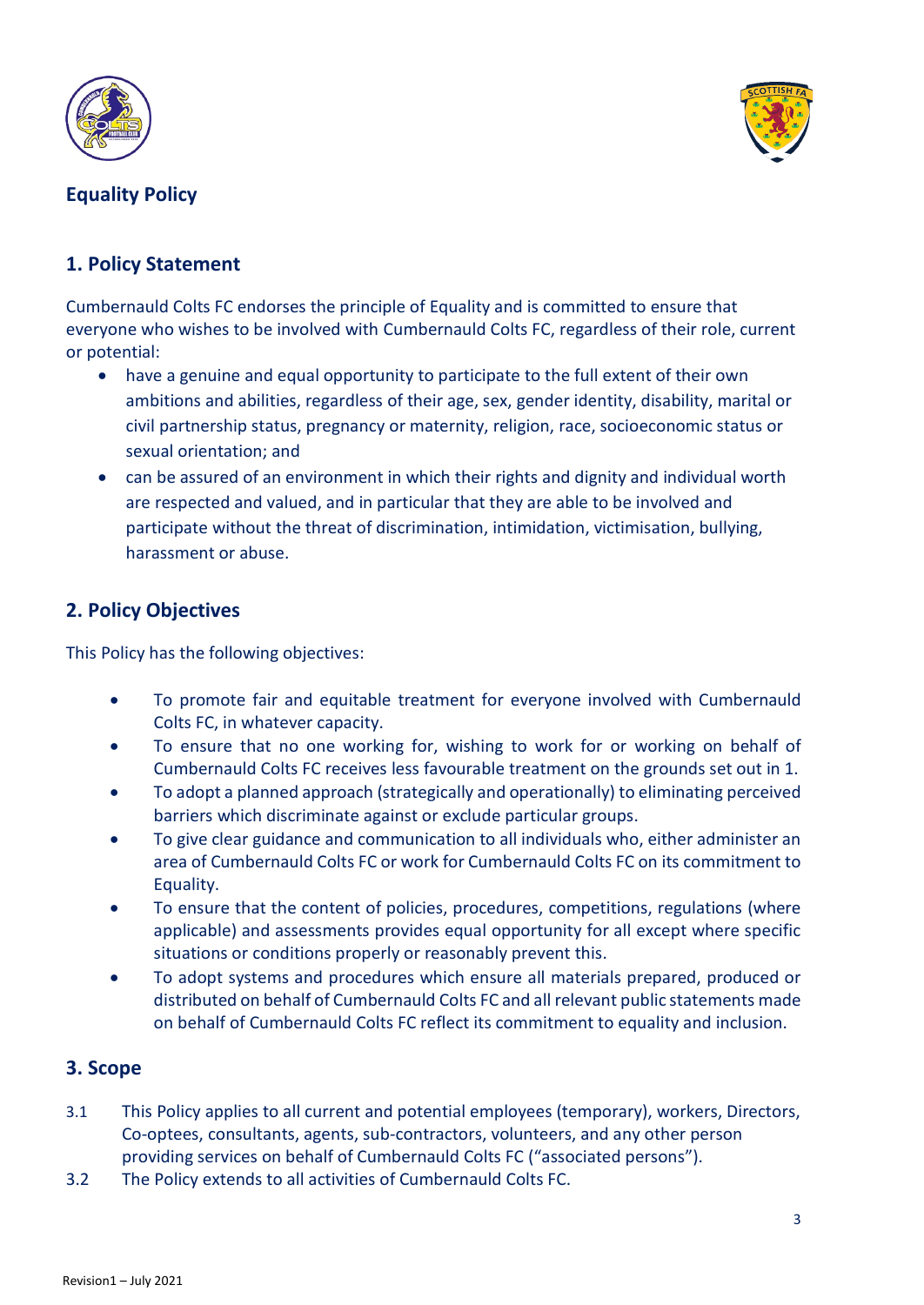



## **Equality Policy**

### **1. Policy Statement**

Cumbernauld Colts FC endorses the principle of Equality and is committed to ensure that everyone who wishes to be involved with Cumbernauld Colts FC, regardless of their role, current or potential:

- have a genuine and equal opportunity to participate to the full extent of their own ambitions and abilities, regardless of their age, sex, gender identity, disability, marital or civil partnership status, pregnancy or maternity, religion, race, socioeconomic status or sexual orientation; and
- can be assured of an environment in which their rights and dignity and individual worth are respected and valued, and in particular that they are able to be involved and participate without the threat of discrimination, intimidation, victimisation, bullying, harassment or abuse.

### **2. Policy Objectives**

This Policy has the following objectives:

- To promote fair and equitable treatment for everyone involved with Cumbernauld Colts FC, in whatever capacity.
- To ensure that no one working for, wishing to work for or working on behalf of Cumbernauld Colts FC receives less favourable treatment on the grounds set out in 1.
- To adopt a planned approach (strategically and operationally) to eliminating perceived barriers which discriminate against or exclude particular groups.
- To give clear guidance and communication to all individuals who, either administer an area of Cumbernauld Colts FC or work for Cumbernauld Colts FC on its commitment to Equality.
- To ensure that the content of policies, procedures, competitions, regulations (where applicable) and assessments provides equal opportunity for all except where specific situations or conditions properly or reasonably prevent this.
- To adopt systems and procedures which ensure all materials prepared, produced or distributed on behalf of Cumbernauld Colts FC and all relevant public statements made on behalf of Cumbernauld Colts FC reflect its commitment to equality and inclusion.

#### **3. Scope**

- 3.1 This Policy applies to all current and potential employees (temporary), workers, Directors, Co-optees, consultants, agents, sub-contractors, volunteers, and any other person providing services on behalf of Cumbernauld Colts FC ("associated persons").
- 3.2 The Policy extends to all activities of Cumbernauld Colts FC.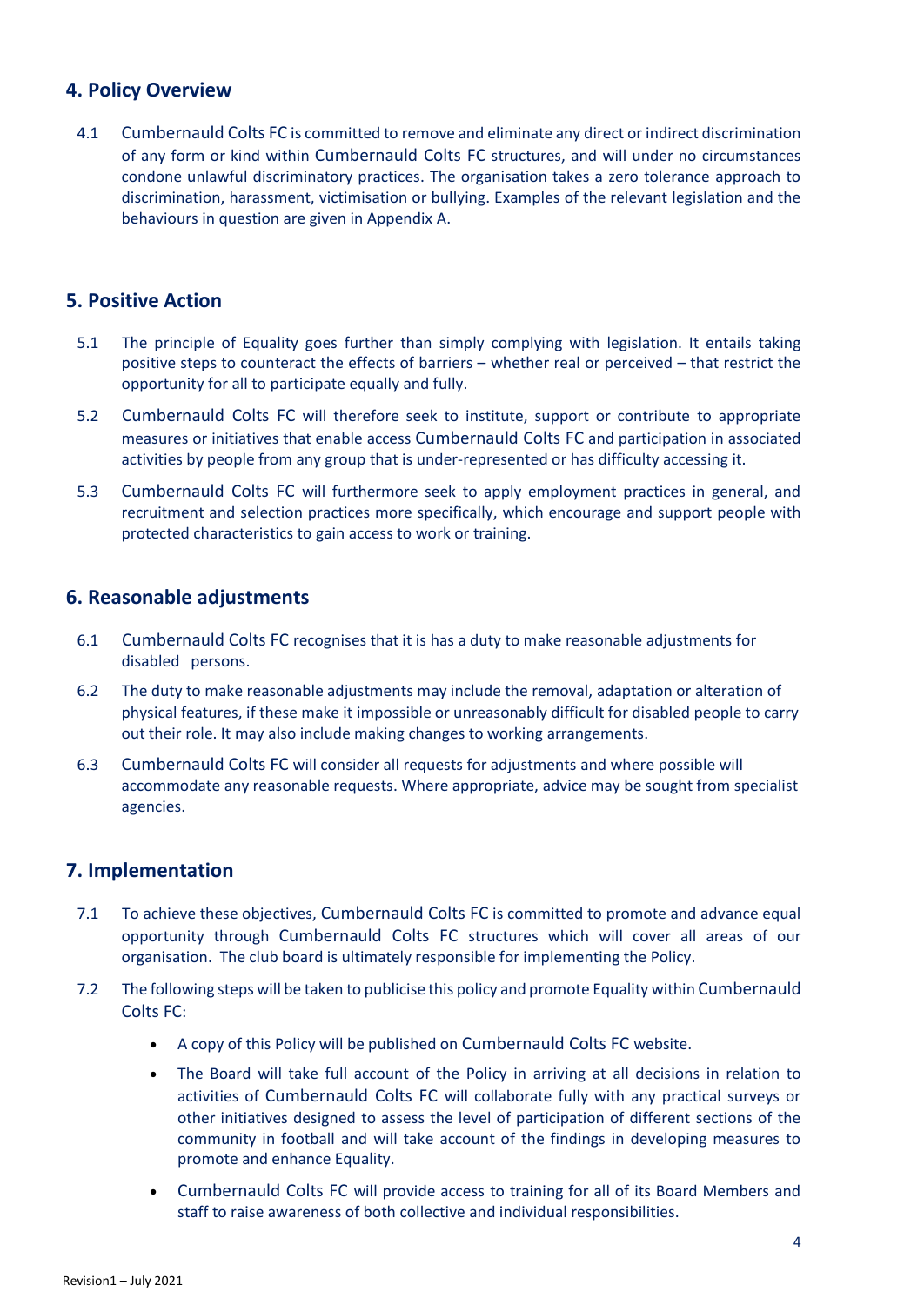#### **4. Policy Overview**

4.1 Cumbernauld Colts FC is committed to remove and eliminate any direct or indirect discrimination of any form or kind within Cumbernauld Colts FC structures, and will under no circumstances condone unlawful discriminatory practices. The organisation takes a zero tolerance approach to discrimination, harassment, victimisation or bullying. Examples of the relevant legislation and the behaviours in question are given in Appendix A.

#### **5. Positive Action**

- 5.1 The principle of Equality goes further than simply complying with legislation. It entails taking positive steps to counteract the effects of barriers – whether real or perceived – that restrict the opportunity for all to participate equally and fully.
- 5.2 Cumbernauld Colts FC will therefore seek to institute, support or contribute to appropriate measures or initiatives that enable access Cumbernauld Colts FC and participation in associated activities by people from any group that is under-represented or has difficulty accessing it.
- 5.3 Cumbernauld Colts FC will furthermore seek to apply employment practices in general, and recruitment and selection practices more specifically, which encourage and support people with protected characteristics to gain access to work or training.

#### **6. Reasonable adjustments**

- 6.1 Cumbernauld Colts FC recognises that it is has a duty to make reasonable adjustments for disabled persons.
- 6.2 The duty to make reasonable adjustments may include the removal, adaptation or alteration of physical features, if these make it impossible or unreasonably difficult for disabled people to carry out their role. It may also include making changes to working arrangements.
- 6.3 Cumbernauld Colts FC will consider all requests for adjustments and where possible will accommodate any reasonable requests. Where appropriate, advice may be sought from specialist agencies.

#### **7. Implementation**

- 7.1 To achieve these objectives, Cumbernauld Colts FC is committed to promote and advance equal opportunity through Cumbernauld Colts FC structures which will cover all areas of our organisation. The club board is ultimately responsible for implementing the Policy.
- 7.2 The following steps will be taken to publicise this policy and promote Equality within Cumbernauld Colts FC:
	- A copy of this Policy will be published on Cumbernauld Colts FC website.
	- The Board will take full account of the Policy in arriving at all decisions in relation to activities of Cumbernauld Colts FC will collaborate fully with any practical surveys or other initiatives designed to assess the level of participation of different sections of the community in football and will take account of the findings in developing measures to promote and enhance Equality.
	- Cumbernauld Colts FC will provide access to training for all of its Board Members and staff to raise awareness of both collective and individual responsibilities.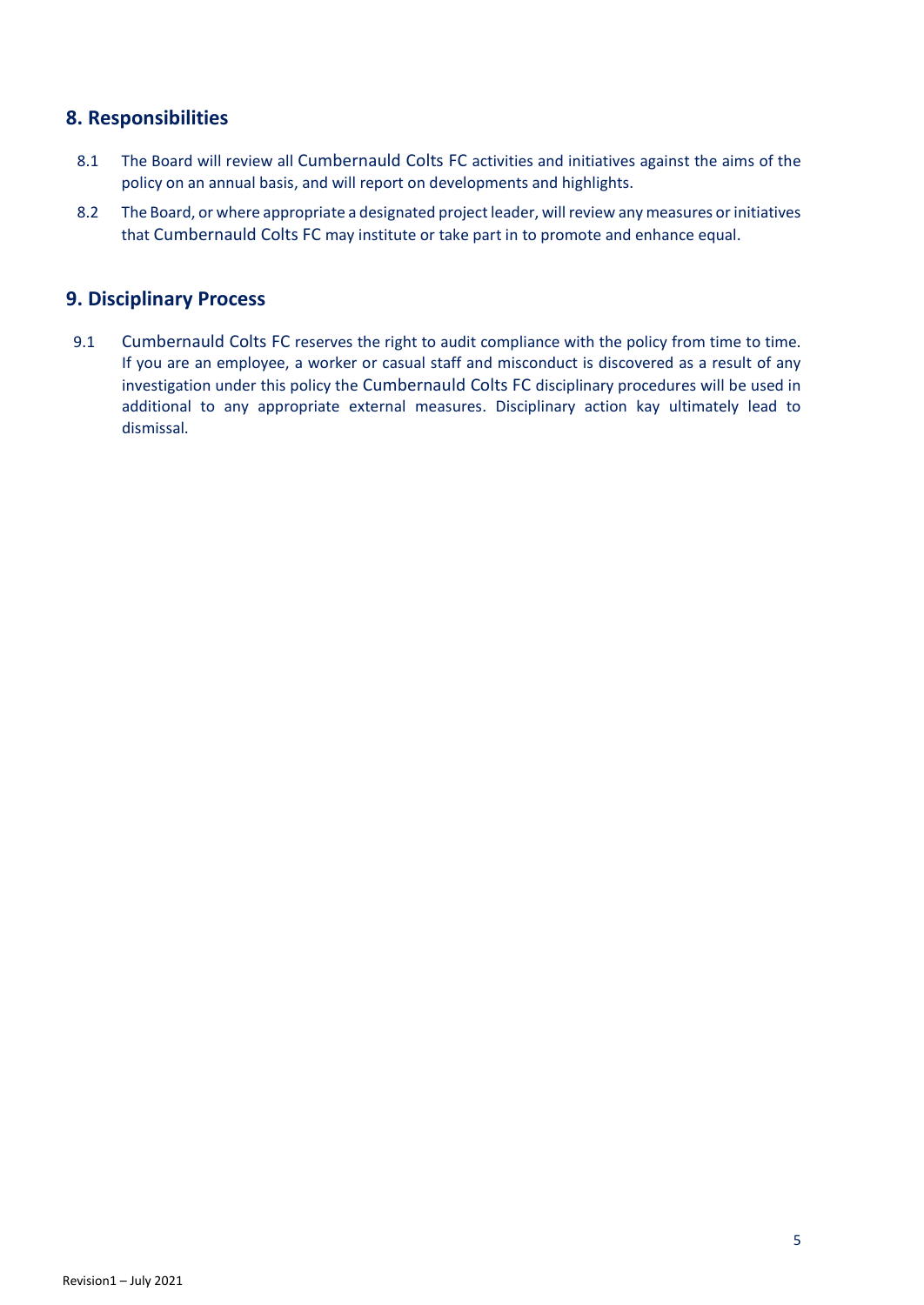#### **8. Responsibilities**

- 8.1 The Board will review all Cumbernauld Colts FC activities and initiatives against the aims of the policy on an annual basis, and will report on developments and highlights.
- 8.2 The Board, or where appropriate a designated project leader, will review any measures or initiatives that Cumbernauld Colts FC may institute or take part in to promote and enhance equal.

#### **9. Disciplinary Process**

9.1 Cumbernauld Colts FC reserves the right to audit compliance with the policy from time to time. If you are an employee, a worker or casual staff and misconduct is discovered as a result of any investigation under this policy the Cumbernauld Colts FC disciplinary procedures will be used in additional to any appropriate external measures. Disciplinary action kay ultimately lead to dismissal.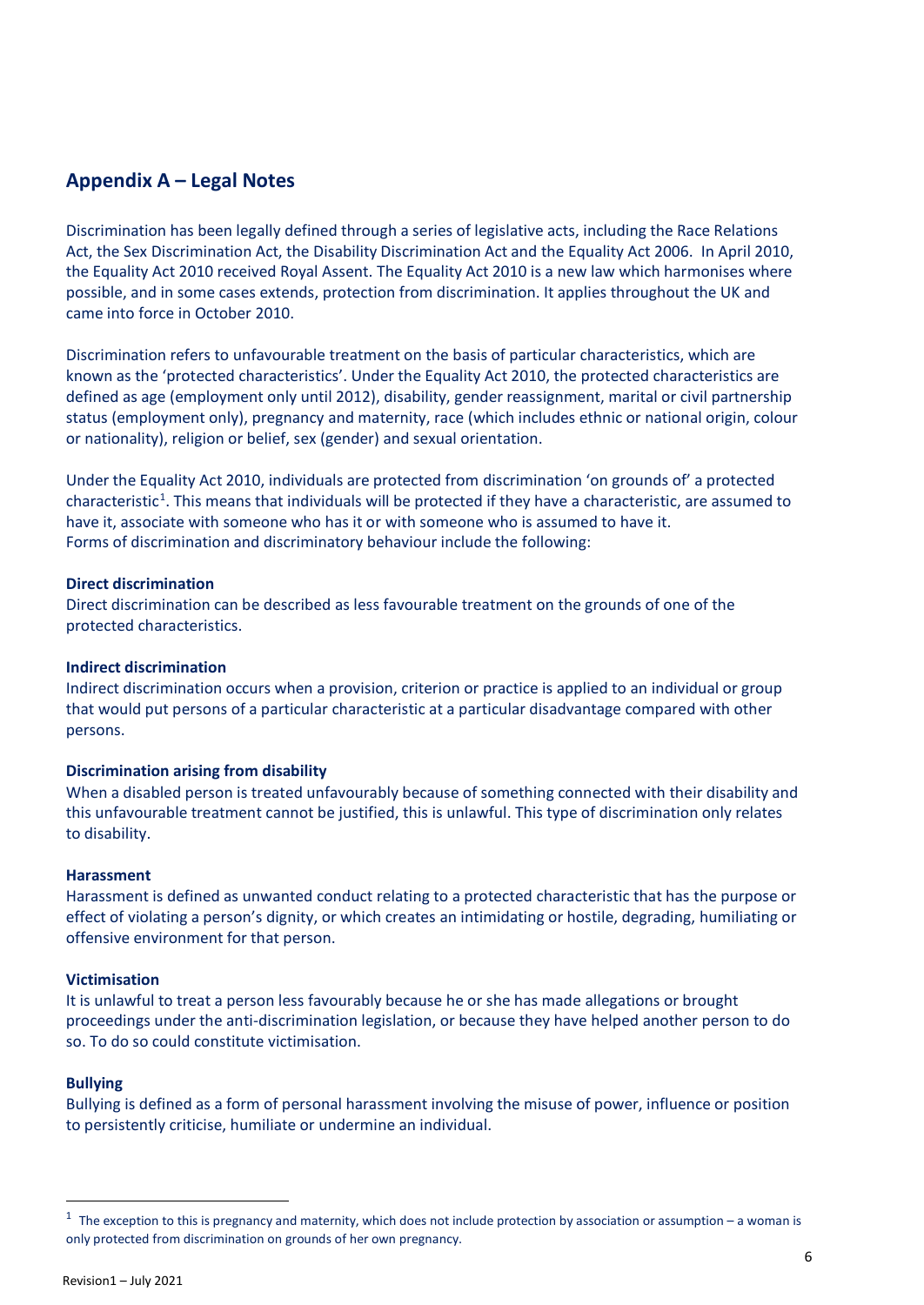#### **Appendix A – Legal Notes**

Discrimination has been legally defined through a series of legislative acts, including the Race Relations Act, the Sex Discrimination Act, the Disability Discrimination Act and the Equality Act 2006. In April 2010, the Equality Act 2010 received Royal Assent. The Equality Act 2010 is a new law which harmonises where possible, and in some cases extends, protection from discrimination. It applies throughout the UK and came into force in October 2010.

Discrimination refers to unfavourable treatment on the basis of particular characteristics, which are known as the 'protected characteristics'. Under the Equality Act 2010, the protected characteristics are defined as age (employment only until 2012), disability, gender reassignment, marital or civil partnership status (employment only), pregnancy and maternity, race (which includes ethnic or national origin, colour or nationality), religion or belief, sex (gender) and sexual orientation.

Under the Equality Act 2010, individuals are protected from discrimination 'on grounds of' a protected characteristic<sup>[1](#page-7-0)</sup>. This means that individuals will be protected if they have a characteristic, are assumed to have it, associate with someone who has it or with someone who is assumed to have it. Forms of discrimination and discriminatory behaviour include the following:

#### **Direct discrimination**

Direct discrimination can be described as less favourable treatment on the grounds of one of the protected characteristics.

#### **Indirect discrimination**

Indirect discrimination occurs when a provision, criterion or practice is applied to an individual or group that would put persons of a particular characteristic at a particular disadvantage compared with other persons.

#### **Discrimination arising from disability**

When a disabled person is treated unfavourably because of something connected with their disability and this unfavourable treatment cannot be justified, this is unlawful. This type of discrimination only relates to disability.

#### **Harassment**

Harassment is defined as unwanted conduct relating to a protected characteristic that has the purpose or effect of violating a person's dignity, or which creates an intimidating or hostile, degrading, humiliating or offensive environment for that person.

#### **Victimisation**

It is unlawful to treat a person less favourably because he or she has made allegations or brought proceedings under the anti-discrimination legislation, or because they have helped another person to do so. To do so could constitute victimisation.

#### **Bullying**

Bullying is defined as a form of personal harassment involving the misuse of power, influence or position to persistently criticise, humiliate or undermine an individual.

<span id="page-7-0"></span> $1$  The exception to this is pregnancy and maternity, which does not include protection by association or assumption – a woman is only protected from discrimination on grounds of her own pregnancy.